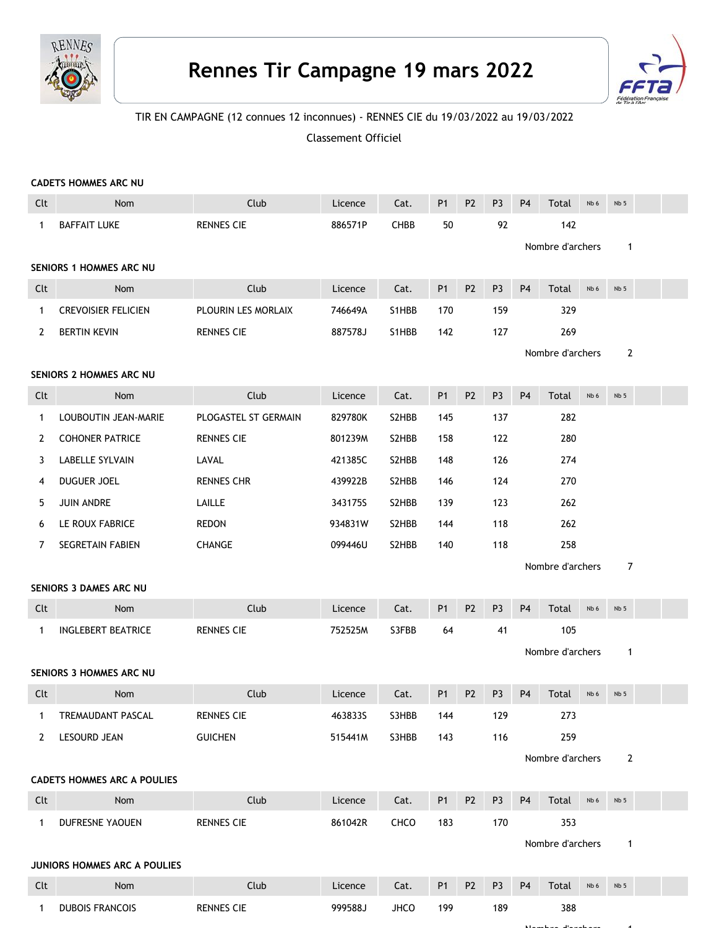

## **Rennes Tir Campagne 19 mars 2022**



Nombre d'archers 1

## TIR EN CAMPAGNE (12 connues 12 inconnues) - RENNES CIE du 19/03/2022 au 19/03/2022

Classement Officiel

|              | <b>CADETS HOMMES ARC NU</b>         |                      |         |       |                |                |                |                  |                  |      |                 |  |
|--------------|-------------------------------------|----------------------|---------|-------|----------------|----------------|----------------|------------------|------------------|------|-----------------|--|
| Clt          | Nom                                 | Club                 | Licence | Cat.  | <b>P1</b>      | P <sub>2</sub> | P <sub>3</sub> | P <sub>4</sub>   | Total            | Nb 6 | Nb <sub>5</sub> |  |
| $\mathbf{1}$ | <b>BAFFAIT LUKE</b>                 | <b>RENNES CIE</b>    | 886571P | CHBB  | 50             |                | 92             |                  | 142              |      |                 |  |
|              |                                     |                      |         |       |                |                |                |                  | Nombre d'archers |      | $\mathbf 1$     |  |
|              | SENIORS 1 HOMMES ARC NU             |                      |         |       |                |                |                |                  |                  |      |                 |  |
| Clt          | Nom                                 | Club                 | Licence | Cat.  | <b>P1</b>      | P <sub>2</sub> | P <sub>3</sub> | <b>P4</b>        | Total            | Nb 6 | Nb <sub>5</sub> |  |
| 1            | <b>CREVOISIER FELICIEN</b>          | PLOURIN LES MORLAIX  | 746649A | S1HBB | 170            |                | 159            |                  | 329              |      |                 |  |
| 2            | <b>BERTIN KEVIN</b>                 | <b>RENNES CIE</b>    | 887578J | S1HBB | 142            |                | 127            |                  | 269              |      |                 |  |
|              |                                     |                      |         |       |                |                |                | Nombre d'archers |                  |      | $\mathbf{2}$    |  |
|              | SENIORS 2 HOMMES ARC NU             |                      |         |       |                |                |                |                  |                  |      |                 |  |
| Clt          | Nom                                 | Club                 | Licence | Cat.  | <b>P1</b>      | P <sub>2</sub> | P <sub>3</sub> | <b>P4</b>        | Total            | Nb 6 | Nb <sub>5</sub> |  |
| $\mathbf{1}$ | LOUBOUTIN JEAN-MARIE                | PLOGASTEL ST GERMAIN | 829780K | S2HBB | 145            |                | 137            |                  | 282              |      |                 |  |
| 2            | <b>COHONER PATRICE</b>              | <b>RENNES CIE</b>    | 801239M | S2HBB | 158            |                | 122            |                  | 280              |      |                 |  |
| 3            | LABELLE SYLVAIN                     | LAVAL                | 421385C | S2HBB | 148            |                | 126            |                  | 274              |      |                 |  |
| 4            | DUGUER JOEL                         | <b>RENNES CHR</b>    | 439922B | S2HBB | 146            |                | 124            |                  | 270              |      |                 |  |
| 5            | <b>JUIN ANDRE</b>                   | LAILLE               | 343175S | S2HBB | 139            |                | 123            |                  | 262              |      |                 |  |
| 6            | LE ROUX FABRICE                     | <b>REDON</b>         | 934831W | S2HBB | 144            |                | 118            |                  | 262              |      |                 |  |
| 7            | SEGRETAIN FABIEN                    | <b>CHANGE</b>        | 099446U | S2HBB | 140            |                | 118            |                  | 258              |      |                 |  |
|              |                                     |                      |         |       |                |                |                |                  | Nombre d'archers |      | 7               |  |
|              | SENIORS 3 DAMES ARC NU              |                      |         |       |                |                |                |                  |                  |      |                 |  |
| Clt          | Nom                                 | Club                 | Licence | Cat.  | <b>P1</b>      | P <sub>2</sub> | P <sub>3</sub> | P <sub>4</sub>   | Total            | Nb 6 | Nb <sub>5</sub> |  |
| 1            | <b>INGLEBERT BEATRICE</b>           | <b>RENNES CIE</b>    | 752525M | S3FBB | 64             |                | 41             |                  | 105              |      |                 |  |
|              |                                     |                      |         |       |                |                |                | Nombre d'archers |                  | 1    |                 |  |
|              | SENIORS 3 HOMMES ARC NU             |                      |         |       |                |                |                |                  |                  |      |                 |  |
| Clt          | Nom                                 | Club                 | Licence | Cat.  | <b>P1</b>      | P <sub>2</sub> | P <sub>3</sub> | <b>P4</b>        | Total            | Nb 6 | Nb <sub>5</sub> |  |
| $\mathbf{1}$ | TREMAUDANT PASCAL                   | <b>RENNES CIE</b>    | 463833S | S3HBB | 144            |                | 129            |                  | 273              |      |                 |  |
| 2            | LESOURD JEAN                        | <b>GUICHEN</b>       | 515441M | S3HBB | 143            |                | 116            |                  | 259              |      |                 |  |
|              |                                     |                      |         |       |                |                |                |                  | Nombre d'archers |      | $\overline{2}$  |  |
|              | <b>CADETS HOMMES ARC A POULIES</b>  |                      |         |       |                |                |                |                  |                  |      |                 |  |
| Clt          | Nom                                 | Club                 | Licence | Cat.  | P <sub>1</sub> | P <sub>2</sub> | P <sub>3</sub> | <b>P4</b>        | Total            | Nb 6 | Nb <sub>5</sub> |  |
| $\mathbf{1}$ | DUFRESNE YAOUEN                     | <b>RENNES CIE</b>    | 861042R | CHCO  | 183            |                | 170            |                  | 353              |      |                 |  |
|              |                                     |                      |         |       |                |                |                |                  | Nombre d'archers |      | $\mathbf{1}$    |  |
|              | <b>JUNIORS HOMMES ARC A POULIES</b> |                      |         |       |                |                |                |                  |                  |      |                 |  |
| Clt          | Nom                                 | Club                 | Licence | Cat.  | P <sub>1</sub> | P <sub>2</sub> | P <sub>3</sub> | P <sub>4</sub>   | Total            | Nb 6 | Nb 5            |  |
| 1            | <b>DUBOIS FRANCOIS</b>              | <b>RENNES CIE</b>    | 999588J | JHCO  | 199            |                | 189            |                  | 388              |      |                 |  |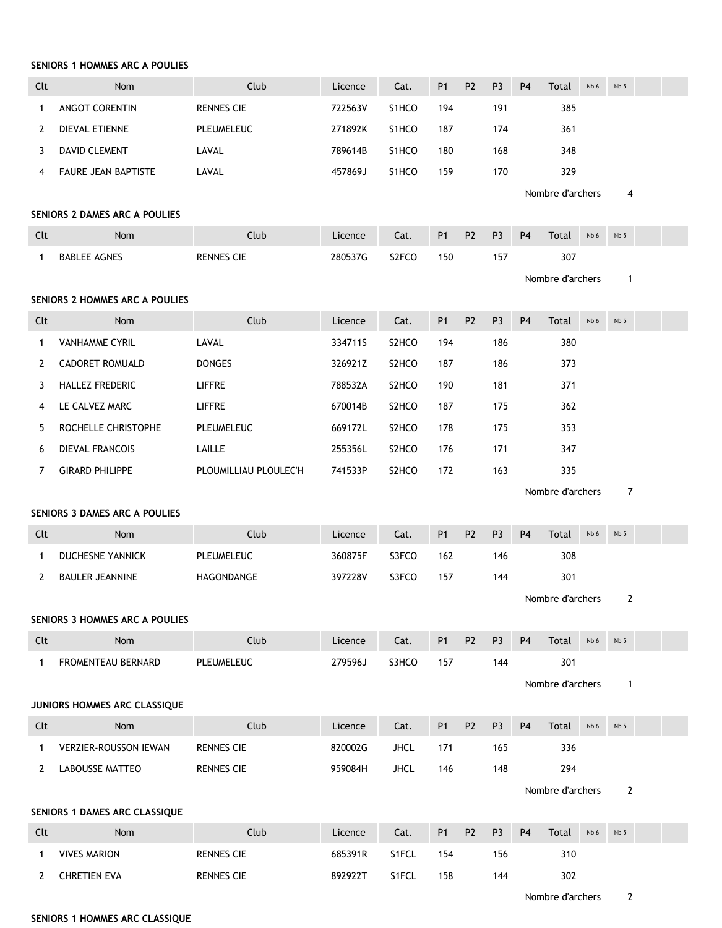## **SENIORS 1 HOMMES ARC A POULIES**

| Clt          | Nom                            | Club                  | Licence | Cat.                           | P <sub>1</sub> | P <sub>2</sub> | P <sub>3</sub> | P <sub>4</sub> | Total            | Nb 6 | Nb <sub>5</sub> |  |
|--------------|--------------------------------|-----------------------|---------|--------------------------------|----------------|----------------|----------------|----------------|------------------|------|-----------------|--|
| $\mathbf{1}$ | <b>ANGOT CORENTIN</b>          | <b>RENNES CIE</b>     | 722563V | S1HCO                          | 194            |                | 191            |                | 385              |      |                 |  |
| 2            | DIEVAL ETIENNE                 | PLEUMELEUC            | 271892K | S1HCO                          | 187            |                | 174            |                | 361              |      |                 |  |
| 3            | DAVID CLEMENT                  | LAVAL                 | 789614B | S1HCO                          | 180            |                | 168            |                | 348              |      |                 |  |
| 4            | <b>FAURE JEAN BAPTISTE</b>     | LAVAL                 | 457869J | S1HCO                          | 159            |                | 170            |                | 329              |      |                 |  |
|              |                                |                       |         |                                |                |                |                |                | Nombre d'archers | 4    |                 |  |
|              | SENIORS 2 DAMES ARC A POULIES  |                       |         |                                |                |                |                |                |                  |      |                 |  |
| Clt          | Nom                            | Club                  | Licence | Cat.                           | <b>P1</b>      | P <sub>2</sub> | P <sub>3</sub> | P <sub>4</sub> | Total            | Nb 6 | Nb <sub>5</sub> |  |
| $\mathbf{1}$ | <b>BABLEE AGNES</b>            | <b>RENNES CIE</b>     | 280537G | S2FCO                          | 150            |                | 157            |                | 307              |      |                 |  |
|              |                                |                       |         |                                |                |                |                |                | Nombre d'archers |      | $\mathbf{1}$    |  |
|              | SENIORS 2 HOMMES ARC A POULIES |                       |         |                                |                |                |                |                |                  |      |                 |  |
| Clt          | Nom                            | Club                  | Licence | Cat.                           | <b>P1</b>      | P <sub>2</sub> | P <sub>3</sub> | P <sub>4</sub> | Total            | Nb 6 | Nb 5            |  |
| $\mathbf{1}$ | <b>VANHAMME CYRIL</b>          | LAVAL                 | 334711S | S <sub>2</sub> HCO             | 194            |                | 186            |                | 380              |      |                 |  |
| 2            | CADORET ROMUALD                | <b>DONGES</b>         | 326921Z | S <sub>2</sub> HCO             | 187            |                | 186            |                | 373              |      |                 |  |
| 3            | <b>HALLEZ FREDERIC</b>         | LIFFRE                | 788532A | S <sub>2</sub> HC <sub>O</sub> | 190            |                | 181            |                | 371              |      |                 |  |
| 4            | LE CALVEZ MARC                 | LIFFRE                | 670014B | S <sub>2</sub> HCO             | 187            |                | 175            |                | 362              |      |                 |  |
| 5            | ROCHELLE CHRISTOPHE            | PLEUMELEUC            | 669172L | S <sub>2</sub> HCO             | 178            |                | 175            |                | 353              |      |                 |  |
| 6            | <b>DIEVAL FRANCOIS</b>         | LAILLE                | 255356L | S <sub>2</sub> HCO             | 176            |                | 171            |                | 347              |      |                 |  |
| 7            | <b>GIRARD PHILIPPE</b>         | PLOUMILLIAU PLOULEC'H | 741533P | S2HCO                          | 172            |                | 163            |                | 335              |      |                 |  |
|              |                                |                       |         |                                |                |                |                |                | Nombre d'archers |      | $\overline{7}$  |  |
|              | SENIORS 3 DAMES ARC A POULIES  |                       |         |                                |                |                |                |                |                  |      |                 |  |
| Clt          | Nom                            | Club                  | Licence | Cat.                           | <b>P1</b>      | P <sub>2</sub> | P <sub>3</sub> | P <sub>4</sub> | Total            | Nb 6 | Nb <sub>5</sub> |  |
| 1            | <b>DUCHESNE YANNICK</b>        | PLEUMELEUC            | 360875F | S3FCO                          | 162            |                | 146            |                | 308              |      |                 |  |
| $\mathbf{2}$ | <b>BAULER JEANNINE</b>         | HAGONDANGE            | 397228V | S3FCO                          | 157            |                | 144            |                | 301              |      |                 |  |
|              |                                |                       |         |                                |                |                |                |                |                  |      |                 |  |
|              |                                |                       |         |                                |                |                |                |                | Nombre d'archers |      | $\overline{2}$  |  |
|              | SENIORS 3 HOMMES ARC A POULIES |                       |         |                                |                |                |                |                |                  |      |                 |  |
| Clt          | Nom                            | Club                  | Licence | Cat.                           | <b>P1</b>      | P <sub>2</sub> | P <sub>3</sub> | P <sub>4</sub> | Total            | Nb 6 | Nb <sub>5</sub> |  |
| $\mathbf{1}$ | FROMENTEAU BERNARD             | PLEUMELEUC            | 279596J | S3HCO                          | 157            |                | 144            |                | 301              |      |                 |  |
|              |                                |                       |         |                                |                |                |                |                | Nombre d'archers |      | $\mathbf{1}$    |  |
|              | JUNIORS HOMMES ARC CLASSIQUE   |                       |         |                                |                |                |                |                |                  |      |                 |  |
| Clt          | Nom                            | Club                  | Licence | Cat.                           | <b>P1</b>      | P <sub>2</sub> | P <sub>3</sub> | P <sub>4</sub> | Total            | Nb 6 | Nb <sub>5</sub> |  |
| $\mathbf{1}$ | <b>VERZIER-ROUSSON IEWAN</b>   | <b>RENNES CIE</b>     | 820002G | <b>JHCL</b>                    | 171            |                | 165            |                | 336              |      |                 |  |
| $\mathbf{2}$ | LABOUSSE MATTEO                | <b>RENNES CIE</b>     | 959084H | <b>JHCL</b>                    | 146            |                | 148            |                | 294              |      |                 |  |
|              |                                |                       |         |                                |                |                |                |                | Nombre d'archers |      | 2               |  |
|              | SENIORS 1 DAMES ARC CLASSIQUE  |                       |         |                                |                |                |                |                |                  |      |                 |  |
| Clt          | Nom                            | Club                  | Licence | Cat.                           | P <sub>1</sub> | P <sub>2</sub> | P <sub>3</sub> | <b>P4</b>      | Total            | Nb 6 | Nb 5            |  |
| 1            | <b>VIVES MARION</b>            | <b>RENNES CIE</b>     | 685391R | S1FCL                          | 154            |                | 156            |                | 310              |      |                 |  |

Nombre d'archers 2

## **SENIORS 1 HOMMES ARC CLASSIQUE**